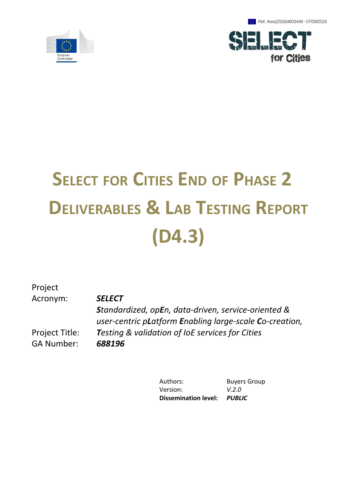Ref. Ares(2018)4603448 - 07/09/2018





# **SELECT FOR CITIES END OF PHASE 2 DELIVERABLES & LAB TESTING REPORT (D4.3)**

## Project Acronym: *SELECT*

Project Title: GA Number: *688196*

*Standardized, opEn, data-driven, service-oriented & user-centric pLatform En abling large-scale Co-creation, Testing & validation of IoE services for Cities*

> Authors: Buyers Group Version: *V.2.0* **Dissemination level:** *PUBLIC*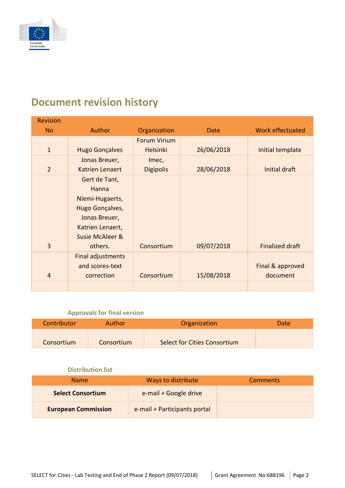

# <span id="page-1-0"></span>**Document revision history**

| <b>Revision</b> |                          |                      |            |                        |  |
|-----------------|--------------------------|----------------------|------------|------------------------|--|
| N <sub>o</sub>  | Author                   | Organization<br>Date |            | Work effectuated       |  |
|                 |                          | <b>Forum Virium</b>  |            |                        |  |
| $\mathbf{1}$    | <b>Hugo Gonçalves</b>    | <b>Helsinki</b>      | 26/06/2018 | Initial template       |  |
|                 | Jonas Breuer,            | Imec,                |            |                        |  |
| $\overline{2}$  | <b>Katrien Lenaert</b>   | <b>Digipolis</b>     | 28/06/2018 | Initial draft          |  |
|                 | Gert de Tant,            |                      |            |                        |  |
|                 | Hanna                    |                      |            |                        |  |
|                 | Niemi-Hugaerts,          |                      |            |                        |  |
|                 | Hugo Gonçalves,          |                      |            |                        |  |
|                 | Jonas Breuer,            |                      |            |                        |  |
|                 | Katrien Lenaert,         |                      |            |                        |  |
|                 | Susie McAleer &          |                      |            |                        |  |
| 3               | others.                  | Consortium           | 09/07/2018 | <b>Finalized draft</b> |  |
|                 | <b>Final adjustments</b> |                      |            |                        |  |
|                 | and scores-text          |                      |            | Final & approved       |  |
| 4               | correction               | Consortium           | 15/08/2018 | document               |  |
|                 |                          |                      |            |                        |  |

#### **Approvals for final version**

<span id="page-1-1"></span>

| Contributor | Author     | Organization                 | Date |
|-------------|------------|------------------------------|------|
| Consortium  | Consortium | Select for Cities Consortium |      |

#### **Distribution list**

<span id="page-1-2"></span>

| <b>Name</b>                | Ways to distribute           | <b>Comments</b> |
|----------------------------|------------------------------|-----------------|
| <b>Select Consortium</b>   | e-mail + Google drive        |                 |
| <b>European Commission</b> | e-mail + Participants portal |                 |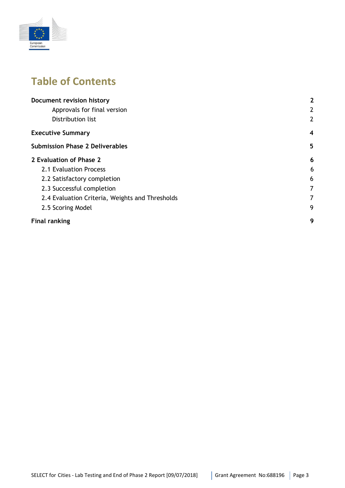

# **Table of Contents**

| Document revision history                       | $\mathbf{2}$   |
|-------------------------------------------------|----------------|
| Approvals for final version                     | $\overline{2}$ |
| Distribution list                               | $\overline{2}$ |
| <b>Executive Summary</b>                        | 4              |
| <b>Submission Phase 2 Deliverables</b>          | 5              |
| 2 Evaluation of Phase 2                         | 6              |
| 2.1 Evaluation Process                          | 6              |
| 2.2 Satisfactory completion                     | 6              |
| 2.3 Successful completion                       | $\overline{7}$ |
| 2.4 Evaluation Criteria, Weights and Thresholds | $\overline{7}$ |
| 2.5 Scoring Model                               | 9              |
| <b>Final ranking</b>                            | 9              |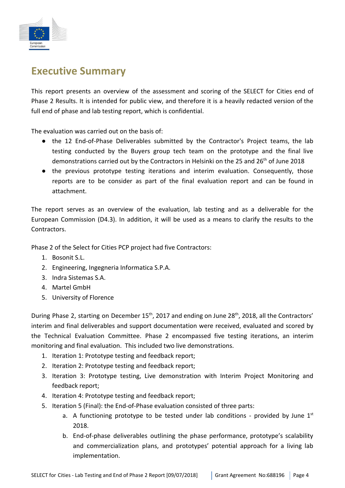

## <span id="page-3-0"></span>**Executive Summary**

This report presents an overview of the assessment and scoring of the SELECT for Cities end of Phase 2 Results. It is intended for public view, and therefore it is a heavily redacted version of the full end of phase and lab testing report, which is confidential.

The evaluation was carried out on the basis of:

- the 12 End-of-Phase Deliverables submitted by the Contractor's Project teams, the lab testing conducted by the Buyers group tech team on the prototype and the final live demonstrations carried out by the Contractors in Helsinki on the 25 and 26<sup>th</sup> of June 2018
- the previous prototype testing iterations and interim evaluation. Consequently, those reports are to be consider as part of the final evaluation report and can be found in attachment.

The report serves as an overview of the evaluation, lab testing and as a deliverable for the European Commission (D4.3). In addition, it will be used as a means to clarify the results to the Contractors.

Phase 2 of the Select for Cities PCP project had five Contractors:

- 1. Bosonit S.L.
- 2. Engineering, Ingegneria Informatica S.P.A.
- 3. Indra Sistemas S.A.
- 4. Martel GmbH
- 5. University of Florence

During Phase 2, starting on December 15<sup>th</sup>, 2017 and ending on June 28<sup>th</sup>, 2018, all the Contractors' interim and final deliverables and support documentation were received, evaluated and scored by the Technical Evaluation Committee. Phase 2 encompassed five testing iterations, an interim monitoring and final evaluation. This included two live demonstrations.

- 1. Iteration 1: Prototype testing and feedback report;
- 2. Iteration 2: Prototype testing and feedback report;
- 3. Iteration 3: Prototype testing, Live demonstration with Interim Project Monitoring and feedback report;
- 4. Iteration 4: Prototype testing and feedback report;
- 5. Iteration 5 (Final): the End-of-Phase evaluation consisted of three parts:
	- a. A functioning prototype to be tested under lab conditions provided by June  $1^{st}$ 2018.
	- b. End-of-phase deliverables outlining the phase performance, prototype's scalability and commercialization plans, and prototypes' potential approach for a living lab implementation.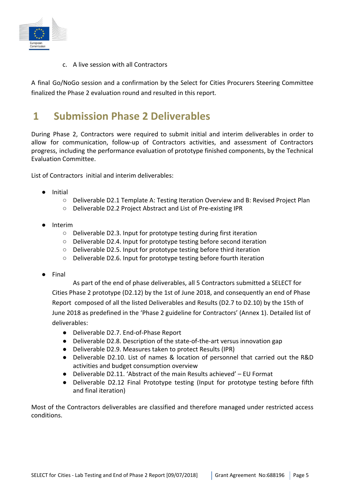

c. A live session with all Contractors

A final Go/NoGo session and a confirmation by the Select for Cities Procurers Steering Committee finalized the Phase 2 evaluation round and resulted in this report.

## <span id="page-4-0"></span>**1 Submission Phase 2 Deliverables**

During Phase 2, Contractors were required to submit initial and interim deliverables in order to allow for communication, follow-up of Contractors activities, and assessment of Contractors progress, including the performance evaluation of prototype finished components, by the Technical Evaluation Committee.

List of Contractors initial and interim deliverables:

- Initial
	- Deliverable D2.1 Template A: Testing Iteration Overview and B: Revised Project Plan
	- Deliverable D2.2 Project Abstract and List of Pre-existing IPR
- Interim
	- Deliverable D2.3. Input for prototype testing during first iteration
	- Deliverable D2.4. Input for prototype testing before second iteration
	- Deliverable D2.5. Input for prototype testing before third iteration
	- Deliverable D2.6. Input for prototype testing before fourth iteration
- Final

As part of the end of phase deliverables, all 5 Contractors submitted a SELECT for Cities Phase 2 prototype (D2.12) by the 1st of June 2018, and consequently an end of Phase Report composed of all the listed Deliverables and Results (D2.7 to D2.10) by the 15th of June 2018 as predefined in the 'Phase 2 guideline for Contractors' (Annex 1). Detailed list of deliverables:

- Deliverable D2.7. End-of-Phase Report
- Deliverable D2.8. Description of the state-of-the-art versus innovation gap
- Deliverable D2.9. Measures taken to protect Results (IPR)
- Deliverable D2.10. List of names & location of personnel that carried out the R&D activities and budget consumption overview
- Deliverable D2.11. 'Abstract of the main Results achieved' EU Format
- Deliverable D2.12 Final Prototype testing (Input for prototype testing before fifth and final iteration)

Most of the Contractors deliverables are classified and therefore managed under restricted access conditions.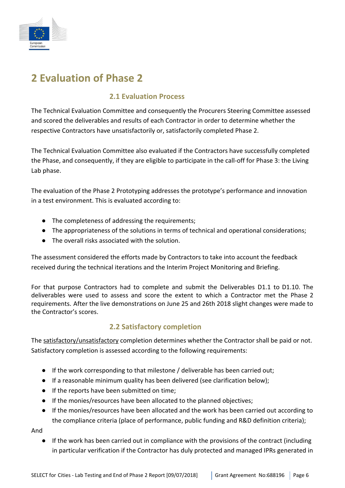

# <span id="page-5-0"></span>**2 Evaluation of Phase 2**

## **2.1 Evaluation Process**

<span id="page-5-1"></span>The Technical Evaluation Committee and consequently the Procurers Steering Committee assessed and scored the deliverables and results of each Contractor in order to determine whether the respective Contractors have unsatisfactorily or, satisfactorily completed Phase 2.

The Technical Evaluation Committee also evaluated if the Contractors have successfully completed the Phase, and consequently, if they are eligible to participate in the call-off for Phase 3: the Living Lab phase.

The evaluation of the Phase 2 Prototyping addresses the prototype's performance and innovation in a test environment. This is evaluated according to:

- The completeness of addressing the requirements;
- The appropriateness of the solutions in terms of technical and operational considerations;
- The overall risks associated with the solution.

The assessment considered the efforts made by Contractors to take into account the feedback received during the technical iterations and the Interim Project Monitoring and Briefing.

For that purpose Contractors had to complete and submit the Deliverables D1.1 to D1.10. The deliverables were used to assess and score the extent to which a Contractor met the Phase 2 requirements. After the live demonstrations on June 25 and 26th 2018 slight changes were made to the Contractor's scores.

## **2.2 Satisfactory completion**

<span id="page-5-2"></span>The satisfactory/unsatisfactory completion determines whether the Contractor shall be paid or not. Satisfactory completion is assessed according to the following requirements:

- If the work corresponding to that milestone / deliverable has been carried out;
- If a reasonable minimum quality has been delivered (see clarification below);
- If the reports have been submitted on time;
- If the monies/resources have been allocated to the planned objectives;
- If the monies/resources have been allocated and the work has been carried out according to the compliance criteria (place of performance, public funding and R&D definition criteria);

And

● If the work has been carried out in compliance with the provisions of the contract (including in particular verification if the Contractor has duly protected and managed IPRs generated in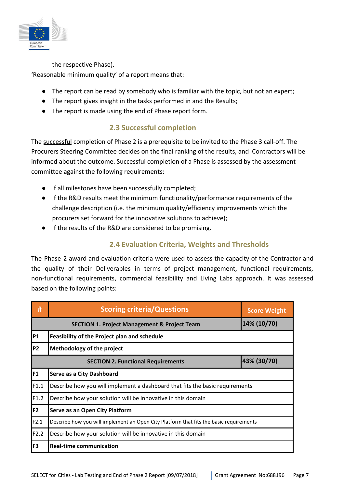

the respective Phase).

'Reasonable minimum quality' of a report means that:

- The report can be read by somebody who is familiar with the topic, but not an expert;
- The report gives insight in the tasks performed in and the Results;
- <span id="page-6-0"></span>● The report is made using the end of Phase report form.

## **2.3 Successful completion**

The successful completion of Phase 2 is a prerequisite to be invited to the Phase 3 call-off. The Procurers Steering Committee decides on the final ranking of the results, and Contractors will be informed about the outcome. Successful completion of a Phase is assessed by the assessment committee against the following requirements:

- If all milestones have been successfully completed;
- If the R&D results meet the minimum functionality/performance requirements of the challenge description (i.e. the minimum quality/efficiency improvements which the procurers set forward for the innovative solutions to achieve);
- <span id="page-6-1"></span>● If the results of the R&D are considered to be promising.

## **2.4 Evaluation Criteria, Weights and Thresholds**

The Phase 2 award and evaluation criteria were used to assess the capacity of the Contractor and the quality of their Deliverables in terms of project management, functional requirements, non-functional requirements, commercial feasibility and Living Labs approach. It was assessed based on the following points:

| #              | <b>Scoring criteria/Questions</b>                                                      | <b>Score Weight</b> |  |
|----------------|----------------------------------------------------------------------------------------|---------------------|--|
|                | <b>SECTION 1. Project Management &amp; Project Team</b>                                | 14% (10/70)         |  |
| <b>P1</b>      | Feasibility of the Project plan and schedule                                           |                     |  |
| P <sub>2</sub> | Methodology of the project                                                             |                     |  |
|                | <b>SECTION 2. Functional Requirements</b>                                              | 43% (30/70)         |  |
| F1             | <b>Serve as a City Dashboard</b>                                                       |                     |  |
| F1.1           | Describe how you will implement a dashboard that fits the basic requirements           |                     |  |
| F1.2           | Describe how your solution will be innovative in this domain                           |                     |  |
| F2             | Serve as an Open City Platform                                                         |                     |  |
| F2.1           | Describe how you will implement an Open City Platform that fits the basic requirements |                     |  |
| F2.2           | Describe how your solution will be innovative in this domain                           |                     |  |
| F3             | <b>Real-time communication</b>                                                         |                     |  |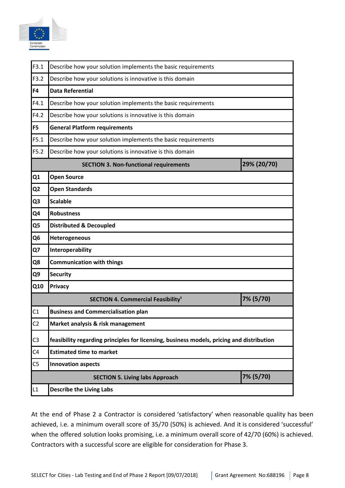

| F3.1           | Describe how your solution implements the basic requirements                              |             |  |
|----------------|-------------------------------------------------------------------------------------------|-------------|--|
| F3.2           | Describe how your solutions is innovative is this domain                                  |             |  |
| F <sub>4</sub> | <b>Data Referential</b>                                                                   |             |  |
| F4.1           | Describe how your solution implements the basic requirements                              |             |  |
| F4.2           | Describe how your solutions is innovative is this domain                                  |             |  |
| F <sub>5</sub> | <b>General Platform requirements</b>                                                      |             |  |
| F5.1           | Describe how your solution implements the basic requirements                              |             |  |
| F5.2           | Describe how your solutions is innovative is this domain                                  |             |  |
|                | <b>SECTION 3. Non-functional requirements</b>                                             | 29% (20/70) |  |
| Q1             | <b>Open Source</b>                                                                        |             |  |
| Q <sub>2</sub> | <b>Open Standards</b>                                                                     |             |  |
| Q3             | <b>Scalable</b>                                                                           |             |  |
| Q4             | <b>Robustness</b>                                                                         |             |  |
| Q5             | <b>Distributed &amp; Decoupled</b>                                                        |             |  |
| Q <sub>6</sub> | Heterogeneous                                                                             |             |  |
| Q7             | Interoperability                                                                          |             |  |
| Q8             | <b>Communication with things</b>                                                          |             |  |
| Q9             | <b>Security</b>                                                                           |             |  |
| Q10            | Privacy                                                                                   |             |  |
|                | <b>SECTION 4. Commercial Feasibility<sup>1</sup></b>                                      | 7% (5/70)   |  |
| C1             | <b>Business and Commercialisation plan</b>                                                |             |  |
| C <sub>2</sub> | Market analysis & risk management                                                         |             |  |
| C <sub>3</sub> | feasibility regarding principles for licensing, business models, pricing and distribution |             |  |
| C4             | <b>Estimated time to market</b>                                                           |             |  |
| C5             | <b>Innovation aspects</b>                                                                 |             |  |
|                | <b>SECTION 5. Living labs Approach</b>                                                    | 7% (5/70)   |  |
| L1             | <b>Describe the Living Labs</b>                                                           |             |  |

At the end of Phase 2 a Contractor is considered 'satisfactory' when reasonable quality has been achieved, i.e. a minimum overall score of 35/70 (50%) is achieved. And it is considered 'successful' when the offered solution looks promising, i.e. a minimum overall score of 42/70 (60%) is achieved. Contractors with a successful score are eligible for consideration for Phase 3.